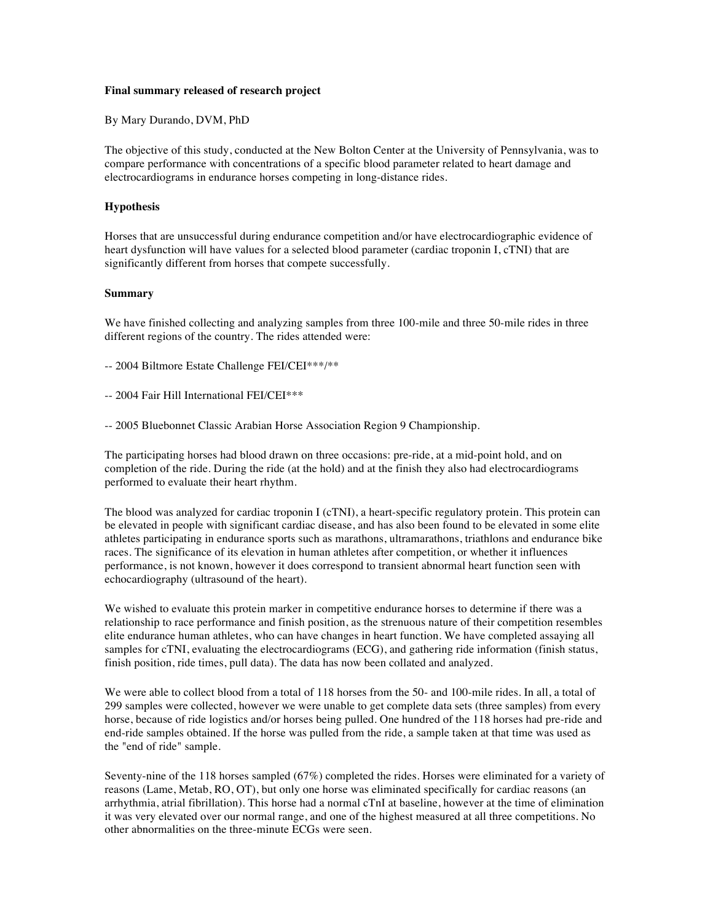## **Final summary released of research project**

By Mary Durando, DVM, PhD

The objective of this study, conducted at the New Bolton Center at the University of Pennsylvania, was to compare performance with concentrations of a specific blood parameter related to heart damage and electrocardiograms in endurance horses competing in long-distance rides.

## **Hypothesis**

Horses that are unsuccessful during endurance competition and/or have electrocardiographic evidence of heart dysfunction will have values for a selected blood parameter (cardiac troponin I, cTNI) that are significantly different from horses that compete successfully.

## **Summary**

We have finished collecting and analyzing samples from three 100-mile and three 50-mile rides in three different regions of the country. The rides attended were:

-- 2004 Biltmore Estate Challenge FEI/CEI\*\*\*/\*\*

- -- 2004 Fair Hill International FEI/CEI\*\*\*
- -- 2005 Bluebonnet Classic Arabian Horse Association Region 9 Championship.

The participating horses had blood drawn on three occasions: pre-ride, at a mid-point hold, and on completion of the ride. During the ride (at the hold) and at the finish they also had electrocardiograms performed to evaluate their heart rhythm.

The blood was analyzed for cardiac troponin I (cTNI), a heart-specific regulatory protein. This protein can be elevated in people with significant cardiac disease, and has also been found to be elevated in some elite athletes participating in endurance sports such as marathons, ultramarathons, triathlons and endurance bike races. The significance of its elevation in human athletes after competition, or whether it influences performance, is not known, however it does correspond to transient abnormal heart function seen with echocardiography (ultrasound of the heart).

We wished to evaluate this protein marker in competitive endurance horses to determine if there was a relationship to race performance and finish position, as the strenuous nature of their competition resembles elite endurance human athletes, who can have changes in heart function. We have completed assaying all samples for cTNI, evaluating the electrocardiograms (ECG), and gathering ride information (finish status, finish position, ride times, pull data). The data has now been collated and analyzed.

We were able to collect blood from a total of 118 horses from the 50- and 100-mile rides. In all, a total of 299 samples were collected, however we were unable to get complete data sets (three samples) from every horse, because of ride logistics and/or horses being pulled. One hundred of the 118 horses had pre-ride and end-ride samples obtained. If the horse was pulled from the ride, a sample taken at that time was used as the "end of ride" sample.

Seventy-nine of the 118 horses sampled (67%) completed the rides. Horses were eliminated for a variety of reasons (Lame, Metab, RO, OT), but only one horse was eliminated specifically for cardiac reasons (an arrhythmia, atrial fibrillation). This horse had a normal cTnI at baseline, however at the time of elimination it was very elevated over our normal range, and one of the highest measured at all three competitions. No other abnormalities on the three-minute ECGs were seen.